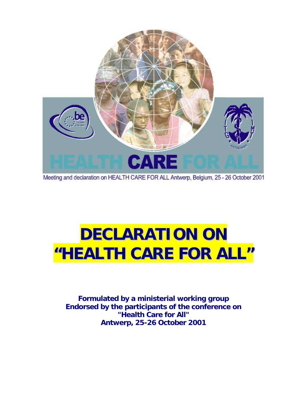

Meeting and declaration on HEALTH CARE FOR ALL Antwerp, Belgium, 25 - 26 October 2001

# **DECLARATION ON "HEALTH CARE FOR ALL"**

**Formulated by a ministerial working group Endorsed by the participants of the conference on "Health Care for All" Antwerp, 25-26 October 2001**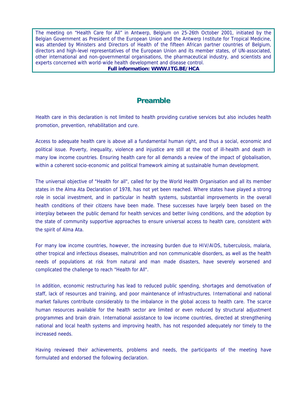The meeting on "Health Care for All" in Antwerp, Belgium on 25-26th October 2001, initiated by the Belgian Government as President of the European Union and the Antwerp Institute for Tropical Medicine, was attended by Ministers and Directors of Health of the fifteen African partner countries of Belgium, directors and high-level representatives of the European Union and its member states, of UN-associated, other international and non-governmental organisations, the pharmaceutical industry, and scientists and experts concerned with world-wide health development and disease control.

**Full information: [WWW.ITG.BE/HCA](http://www.itg.be/HCA)**

## **Preamble**

Health care in this declaration is not limited to health providing curative services but also includes health promotion, prevention, rehabilitation and cure.

Access to adequate health care is above all a fundamental human right, and thus a social, economic and political issue. Poverty, inequality, violence and injustice are still at the root of ill-health and death in many low income countries. Ensuring health care for all demands a review of the impact of globalisation, within a coherent socio-economic and political framework aiming at sustainable human development.

The universal objective of "Health for all", called for by the World Health Organisation and all its member states in the Alma Ata Declaration of 1978, has not yet been reached. Where states have played a strong role in social investment, and in particular in health systems, substantial improvements in the overall health conditions of their citizens have been made. These successes have largely been based on the interplay between the public demand for health services and better living conditions, and the adoption by the state of community supportive approaches to ensure universal access to health care, consistent with the spirit of Alma Ata.

For many low income countries, however, the increasing burden due to HIV/AIDS, tuberculosis, malaria, other tropical and infectious diseases, malnutrition and non communicable disorders, as well as the health needs of populations at risk from natural and man made disasters, have severely worsened and complicated the challenge to reach "Health for All".

In addition, economic restructuring has lead to reduced public spending, shortages and demotivation of staff, lack of resources and training, and poor maintenance of infrastructures. International and national market failures contribute considerably to the imbalance in the global access to health care. The scarce human resources available for the health sector are limited or even reduced by structural adjustment programmes and brain drain. International assistance to low income countries, directed at strengthening national and local health systems and improving health, has not responded adequately nor timely to the increased needs.

Having reviewed their achievements, problems and needs, the participants of the meeting have formulated and endorsed the following declaration.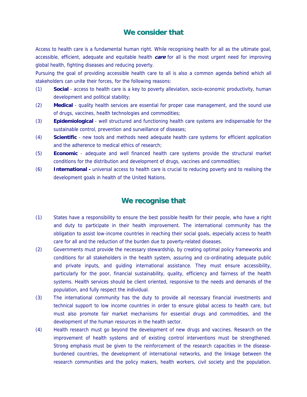#### **We consider that**

Access to health care is a fundamental human right. While recognising health for all as the ultimate goal, accessible, efficient, adequate and equitable health **care** for all is the most urgent need for improving global health, fighting diseases and reducing poverty.

Pursuing the goal of providing accessible health care to all is also a common agenda behind which all stakeholders can unite their forces, for the following reasons:

- (1) **Social** access to health care is a key to poverty alleviation, socio-economic productivity, human development and political stability;
- (2) **Medical** quality health services are essential for proper case management, and the sound use of drugs, vaccines, health technologies and commodities;
- (3) **Epidemiological** well structured and functioning health care systems are indispensable for the sustainable control, prevention and surveillance of diseases;
- (4) **Scientific** new tools and methods need adequate health care systems for efficient application and the adherence to medical ethics of research;
- (5) **Economic** adequate and well financed health care systems provide the structural market conditions for the distribution and development of drugs, vaccines and commodities;
- (6) **International** universal access to health care is crucial to reducing poverty and to realising the development goals in health of the United Nations.

### **We recognise that**

- (1) States have a responsibility to ensure the best possible health for their people, who have a right and duty to participate in their health improvement. The international community has the obligation to assist low-income countries in reaching their social goals, especially access to health care for all and the reduction of the burden due to poverty-related diseases.
- (2) Governments must provide the necessary stewardship, by creating optimal policy frameworks and conditions for all stakeholders in the health system, assuring and co-ordinating adequate public and private inputs, and guiding international assistance. They must ensure accessibility, particularly for the poor, financial sustainability, quality, efficiency and fairness of the health systems. Health services should be client oriented, responsive to the needs and demands of the population, and fully respect the individual.
- (3) The international community has the duty to provide all necessary financial investments and technical support to low income countries in order to ensure global access to health care, but must also promote fair market mechanisms for essential drugs and commodities, and the development of the human resources in the health sector.
- (4) Health research must go beyond the development of new drugs and vaccines. Research on the improvement of health systems and of existing control interventions must be strengthened. Strong emphasis must be given to the reinforcement of the research capacities in the diseaseburdened countries, the development of international networks, and the linkage between the research communities and the policy makers, health workers, civil society and the population.